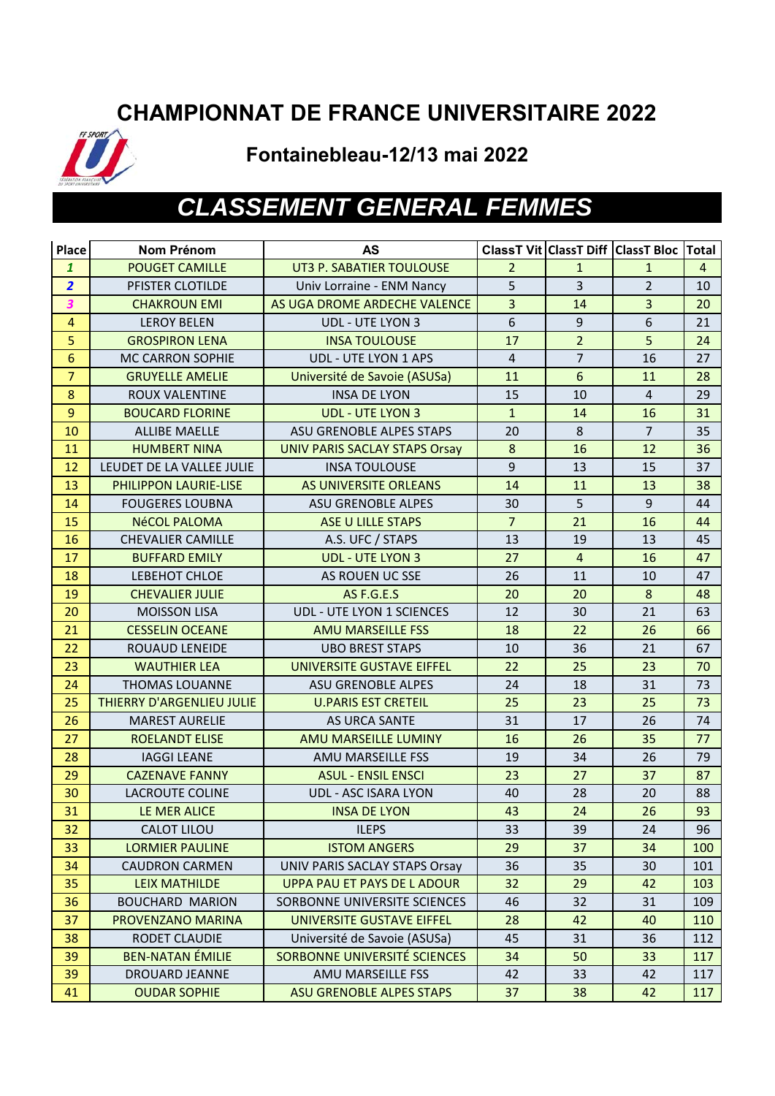### **CHAMPIONNAT DE FRANCE UNIVERSITAIRE 2022**



#### **Fontainebleau-12/13 mai 2022**

# *CLASSEMENT GENERAL FEMMES*

| Place            | Nom Prénom                       | AS                                   |                  |                  | ClassT Vit ClassT Diff ClassT Bloc | Total          |
|------------------|----------------------------------|--------------------------------------|------------------|------------------|------------------------------------|----------------|
| $\mathbf{1}$     | <b>POUGET CAMILLE</b>            | UT3 P. SABATIER TOULOUSE             | $\overline{2}$   | $\mathbf{1}$     | $\mathbf{1}$                       | $\overline{4}$ |
| $\overline{2}$   | PFISTER CLOTILDE                 | Univ Lorraine - ENM Nancy            | 5                | $\overline{3}$   | $\overline{2}$                     | 10             |
| 3                | <b>CHAKROUN EMI</b>              | AS UGA DROME ARDECHE VALENCE         | $\overline{3}$   | 14               | $\overline{3}$                     | 20             |
| $\overline{4}$   | <b>LEROY BELEN</b>               | UDL - UTE LYON 3                     | $\boldsymbol{6}$ | 9                | $\boldsymbol{6}$                   | 21             |
| 5                | <b>GROSPIRON LENA</b>            | <b>INSA TOULOUSE</b>                 | 17               | $\overline{2}$   | 5                                  | 24             |
| $6\phantom{1}6$  | MC CARRON SOPHIE                 | UDL - UTE LYON 1 APS                 | $\overline{4}$   | $\overline{7}$   | 16                                 | 27             |
| $\overline{7}$   | <b>GRUYELLE AMELIE</b>           | Université de Savoie (ASUSa)         | 11               | $\boldsymbol{6}$ | 11                                 | 28             |
| $\boldsymbol{8}$ | ROUX VALENTINE                   | <b>INSA DE LYON</b>                  | 15               | 10               | $\overline{4}$                     | 29             |
| $\boldsymbol{9}$ | <b>BOUCARD FLORINE</b>           | <b>UDL - UTE LYON 3</b>              | $\mathbf{1}$     | 14               | 16                                 | 31             |
| 10               | <b>ALLIBE MAELLE</b>             | ASU GRENOBLE ALPES STAPS             | 20               | 8                | $\overline{7}$                     | 35             |
| 11               | <b>HUMBERT NINA</b>              | <b>UNIV PARIS SACLAY STAPS Orsay</b> | $\bf 8$          | 16               | 12                                 | 36             |
| 12               | LEUDET DE LA VALLEE JULIE        | <b>INSA TOULOUSE</b>                 | $\overline{9}$   | 13               | 15                                 | 37             |
| 13               | PHILIPPON LAURIE-LISE            | AS UNIVERSITE ORLEANS                | 14               | 11               | 13                                 | 38             |
| 14               | <b>FOUGERES LOUBNA</b>           | <b>ASU GRENOBLE ALPES</b>            | 30               | 5                | 9                                  | 44             |
| 15               | <b>NéCOL PALOMA</b>              | <b>ASE U LILLE STAPS</b>             | $\overline{7}$   | 21               | 16                                 | 44             |
| 16               | <b>CHEVALIER CAMILLE</b>         | A.S. UFC / STAPS                     | 13               | 19               | 13                                 | 45             |
| 17               | <b>BUFFARD EMILY</b>             | <b>UDL - UTE LYON 3</b>              | 27               | $\overline{4}$   | 16                                 | 47             |
| 18               | LEBEHOT CHLOE                    | AS ROUEN UC SSE                      | 26               | 11               | 10                                 | 47             |
| 19               | <b>CHEVALIER JULIE</b>           | AS F.G.E.S                           | 20               | 20               | $8\phantom{1}$                     | 48             |
| 20               | <b>MOISSON LISA</b>              | <b>UDL - UTE LYON 1 SCIENCES</b>     | 12               | 30               | 21                                 | 63             |
| 21               | <b>CESSELIN OCEANE</b>           | <b>AMU MARSEILLE FSS</b>             | 18               | 22               | 26                                 | 66             |
| 22               | ROUAUD LENEIDE                   | <b>UBO BREST STAPS</b>               | 10               | 36               | 21                                 | 67             |
| 23               | <b>WAUTHIER LEA</b>              | UNIVERSITE GUSTAVE EIFFEL            | 22               | 25               | 23                                 | 70             |
| 24               | <b>THOMAS LOUANNE</b>            | <b>ASU GRENOBLE ALPES</b>            | 24               | 18               | 31                                 | 73             |
| 25               | <b>THIERRY D'ARGENLIEU JULIE</b> | <b>U.PARIS EST CRETEIL</b>           | 25               | 23               | 25                                 | 73             |
| 26               | <b>MAREST AURELIE</b>            | AS URCA SANTE                        | 31               | 17               | 26                                 | 74             |
| 27               | <b>ROELANDT ELISE</b>            | AMU MARSEILLE LUMINY                 | 16               | 26               | 35                                 | 77             |
| 28               | <b>IAGGI LEANE</b>               | AMU MARSEILLE FSS                    | 19               | 34               | 26                                 | 79             |
| 29               | <b>CAZENAVE FANNY</b>            | <b>ASUL - ENSIL ENSCI</b>            | 23               | 27               | 37                                 | 87             |
| 30               | <b>LACROUTE COLINE</b>           | UDL - ASC ISARA LYON                 | 40               | 28               | 20                                 | 88             |
| 31               | LE MER ALICE                     | <b>INSA DE LYON</b>                  | 43               | 24               | 26                                 | 93             |
| 32               | <b>CALOT LILOU</b>               | <b>ILEPS</b>                         | 33               | 39               | 24                                 | 96             |
| 33               | <b>LORMIER PAULINE</b>           | <b>ISTOM ANGERS</b>                  | 29               | 37               | 34                                 | 100            |
| 34               | <b>CAUDRON CARMEN</b>            | UNIV PARIS SACLAY STAPS Orsay        | 36               | 35               | 30                                 | 101            |
| 35               | <b>LEIX MATHILDE</b>             | <b>UPPA PAU ET PAYS DE L ADOUR</b>   | 32               | 29               | 42                                 | 103            |
| 36               | <b>BOUCHARD MARION</b>           | SORBONNE UNIVERSITE SCIENCES         | 46               | 32               | 31                                 | 109            |
| 37               | PROVENZANO MARINA                | UNIVERSITE GUSTAVE EIFFEL            | 28               | 42               | 40                                 | 110            |
| 38               | RODET CLAUDIE                    | Université de Savoie (ASUSa)         | 45               | 31               | 36                                 | 112            |
| 39               | <b>BEN-NATAN ÉMILIE</b>          | SORBONNE UNIVERSITÉ SCIENCES         | 34               | 50               | 33                                 | 117            |
| 39               | DROUARD JEANNE                   | AMU MARSEILLE FSS                    | 42               | 33               | 42                                 | 117            |
| 41               | <b>OUDAR SOPHIE</b>              | <b>ASU GRENOBLE ALPES STAPS</b>      | 37               | 38               | 42                                 | 117            |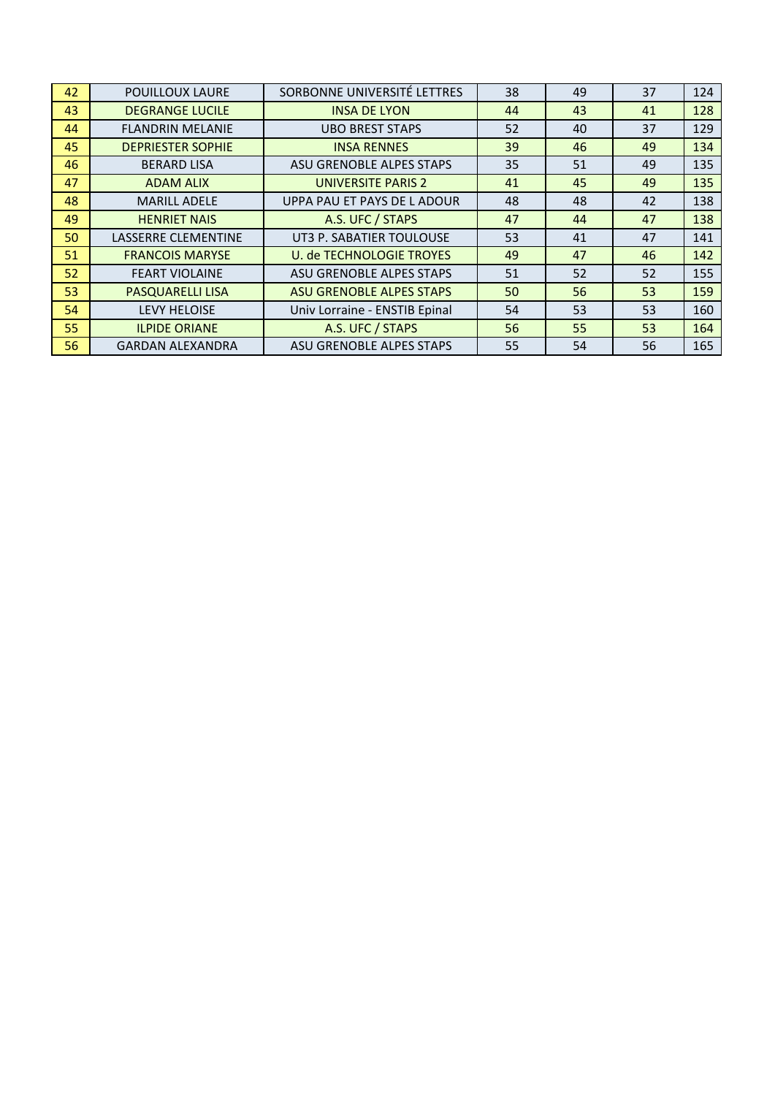| 42 | POUILLOUX LAURE          | SORBONNE UNIVERSITÉ LETTRES     | 38 | 49 | 37 | 124 |
|----|--------------------------|---------------------------------|----|----|----|-----|
| 43 | <b>DEGRANGE LUCILE</b>   | <b>INSA DE LYON</b>             | 44 | 43 | 41 | 128 |
| 44 | <b>FLANDRIN MELANIE</b>  | <b>UBO BREST STAPS</b>          | 52 | 40 | 37 | 129 |
| 45 | <b>DEPRIESTER SOPHIE</b> | <b>INSA RENNES</b>              | 39 | 46 | 49 | 134 |
| 46 | <b>BERARD LISA</b>       | ASU GRENOBLE ALPES STAPS        | 35 | 51 | 49 | 135 |
| 47 | <b>ADAM ALIX</b>         | <b>UNIVERSITE PARIS 2</b>       | 41 | 45 | 49 | 135 |
| 48 | <b>MARILL ADELE</b>      | UPPA PAU ET PAYS DE LADOUR      | 48 | 48 | 42 | 138 |
| 49 | <b>HENRIET NAIS</b>      | A.S. UFC / STAPS                | 47 | 44 | 47 | 138 |
| 50 | LASSERRE CLEMENTINE      | UT3 P. SABATIER TOULOUSE        | 53 | 41 | 47 | 141 |
| 51 | <b>FRANCOIS MARYSE</b>   | <b>U. de TECHNOLOGIE TROYES</b> | 49 | 47 | 46 | 142 |
| 52 | <b>FEART VIOLAINE</b>    | ASU GRENOBLE ALPES STAPS        | 51 | 52 | 52 | 155 |
| 53 | <b>PASQUARELLI LISA</b>  | <b>ASU GRENOBLE ALPES STAPS</b> | 50 | 56 | 53 | 159 |
| 54 | <b>LEVY HELOISE</b>      | Univ Lorraine - ENSTIB Epinal   | 54 | 53 | 53 | 160 |
| 55 | <b>ILPIDE ORIANE</b>     | A.S. UFC / STAPS                | 56 | 55 | 53 | 164 |
| 56 | <b>GARDAN ALEXANDRA</b>  | ASU GRENOBLE ALPES STAPS        | 55 | 54 | 56 | 165 |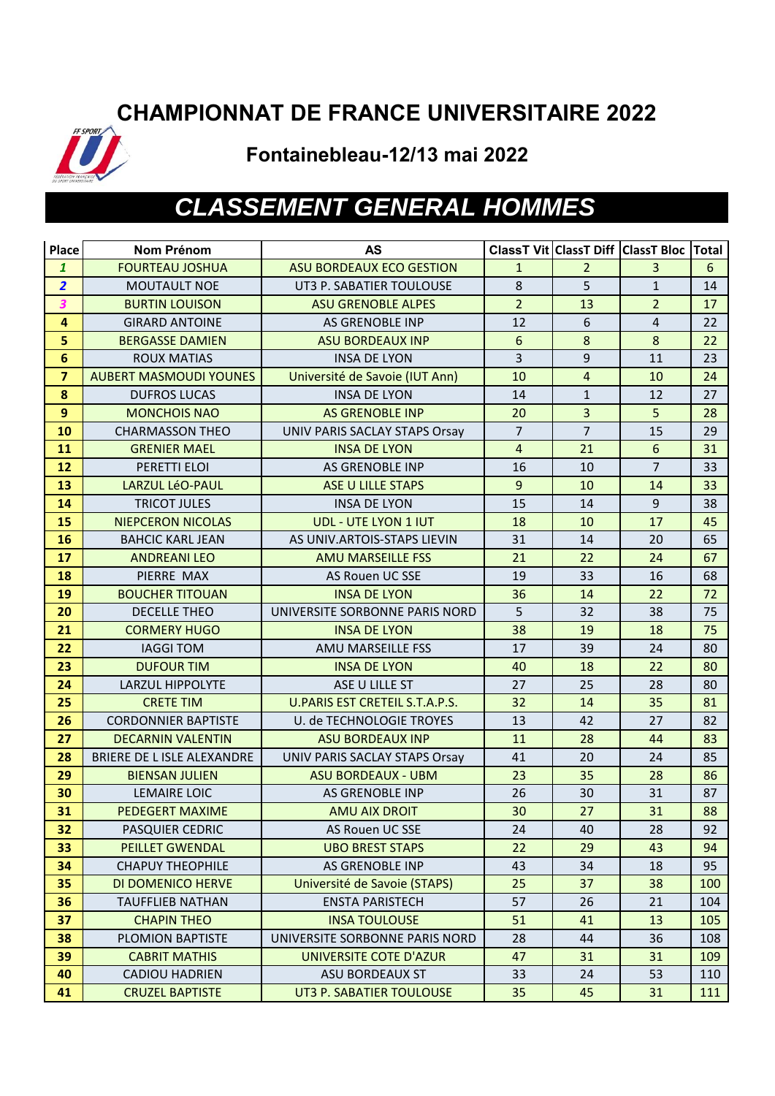### **CHAMPIONNAT DE FRANCE UNIVERSITAIRE 2022**



**Fontainebleau-12/13 mai 2022**

# *CLASSEMENT GENERAL HOMMES*

| Place                   | <b>Nom Prénom</b>             | <b>AS</b>                       |                 |                | <b>ClassT Vit ClassT Diff ClassT Bloc</b> | <b>Total</b> |
|-------------------------|-------------------------------|---------------------------------|-----------------|----------------|-------------------------------------------|--------------|
| $\mathbf{1}$            | <b>FOURTEAU JOSHUA</b>        | <b>ASU BORDEAUX ECO GESTION</b> | $\mathbf{1}$    | $\overline{2}$ | $\overline{3}$                            | 6            |
| $\overline{2}$          | <b>MOUTAULT NOE</b>           | UT3 P. SABATIER TOULOUSE        | $\,8\,$         | 5              | $\mathbf{1}$                              | 14           |
| $\overline{\mathbf{3}}$ | <b>BURTIN LOUISON</b>         | <b>ASU GRENOBLE ALPES</b>       | $\overline{2}$  | 13             | $\overline{2}$                            | 17           |
| $\overline{\mathbf{4}}$ | <b>GIRARD ANTOINE</b>         | AS GRENOBLE INP                 | 12              | 6              | $\overline{4}$                            | 22           |
| 5                       | <b>BERGASSE DAMIEN</b>        | <b>ASU BORDEAUX INP</b>         | $6\phantom{.}6$ | 8              | $8\phantom{1}$                            | 22           |
| $6\phantom{1}6$         | <b>ROUX MATIAS</b>            | <b>INSA DE LYON</b>             | $\overline{3}$  | 9              | 11                                        | 23           |
| $\overline{7}$          | <b>AUBERT MASMOUDI YOUNES</b> | Université de Savoie (IUT Ann)  | 10              | $\overline{4}$ | 10                                        | 24           |
| $\boldsymbol{8}$        | <b>DUFROS LUCAS</b>           | <b>INSA DE LYON</b>             | 14              | $\mathbf{1}$   | 12                                        | 27           |
| 9                       | <b>MONCHOIS NAO</b>           | <b>AS GRENOBLE INP</b>          | 20              | $\overline{3}$ | 5 <sup>1</sup>                            | 28           |
| 10                      | <b>CHARMASSON THEO</b>        | UNIV PARIS SACLAY STAPS Orsay   | $\overline{7}$  | $\overline{7}$ | 15                                        | 29           |
| 11                      | <b>GRENIER MAEL</b>           | <b>INSA DE LYON</b>             | $\overline{4}$  | 21             | $6\overline{6}$                           | 31           |
| 12                      | PERETTI ELOI                  | AS GRENOBLE INP                 | 16              | 10             | $\overline{7}$                            | 33           |
| 13                      | LARZUL LéO-PAUL               | <b>ASE U LILLE STAPS</b>        | 9               | 10             | 14                                        | 33           |
| 14                      | <b>TRICOT JULES</b>           | <b>INSA DE LYON</b>             | 15              | 14             | 9                                         | 38           |
| 15                      | <b>NIEPCERON NICOLAS</b>      | <b>UDL - UTE LYON 1 IUT</b>     | 18              | 10             | 17                                        | 45           |
| 16                      | <b>BAHCIC KARL JEAN</b>       | AS UNIV.ARTOIS-STAPS LIEVIN     | 31              | 14             | 20                                        | 65           |
| 17                      | <b>ANDREANILEO</b>            | <b>AMU MARSEILLE FSS</b>        | 21              | 22             | 24                                        | 67           |
| 18                      | PIERRE MAX                    | AS Rouen UC SSE                 | 19              | 33             | 16                                        | 68           |
| 19                      | <b>BOUCHER TITOUAN</b>        | <b>INSA DE LYON</b>             | 36              | 14             | 22                                        | 72           |
| 20                      | <b>DECELLE THEO</b>           | UNIVERSITE SORBONNE PARIS NORD  | 5               | 32             | 38                                        | 75           |
| 21                      | <b>CORMERY HUGO</b>           | <b>INSA DE LYON</b>             | 38              | 19             | 18                                        | 75           |
| 22                      | <b>IAGGI TOM</b>              | AMU MARSEILLE FSS               | 17              | 39             | 24                                        | 80           |
| 23                      | <b>DUFOUR TIM</b>             | <b>INSA DE LYON</b>             | 40              | 18             | 22                                        | 80           |
| 24                      | <b>LARZUL HIPPOLYTE</b>       | ASE U LILLE ST                  | 27              | 25             | 28                                        | 80           |
| 25                      | <b>CRETE TIM</b>              | U.PARIS EST CRETEIL S.T.A.P.S.  | 32              | 14             | 35                                        | 81           |
| 26                      | <b>CORDONNIER BAPTISTE</b>    | U. de TECHNOLOGIE TROYES        | 13              | 42             | 27                                        | 82           |
| 27                      | <b>DECARNIN VALENTIN</b>      | <b>ASU BORDEAUX INP</b>         | 11              | 28             | 44                                        | 83           |
| 28                      | BRIERE DE L ISLE ALEXANDRE    | UNIV PARIS SACLAY STAPS Orsay   | 41              | 20             | 24                                        | 85           |
| 29                      | <b>BIENSAN JULIEN</b>         | <b>ASU BORDEAUX - UBM</b>       | 23              | 35             | 28                                        | 86           |
| 30                      | <b>LEMAIRE LOIC</b>           | AS GRENOBLE INP                 | 26              | 30             | 31                                        | 87           |
| 31                      | <b>PEDEGERT MAXIME</b>        | <b>AMU AIX DROIT</b>            | 30              | 27             | 31                                        | 88           |
| 32                      | PASQUIER CEDRIC               | AS Rouen UC SSE                 | 24              | 40             | 28                                        | 92           |
| 33                      | <b>PEILLET GWENDAL</b>        | <b>UBO BREST STAPS</b>          | 22              | 29             | 43                                        | 94           |
| 34                      | <b>CHAPUY THEOPHILE</b>       | AS GRENOBLE INP                 | 43              | 34             | 18                                        | 95           |
| 35                      | DI DOMENICO HERVE             | Université de Savoie (STAPS)    | 25              | 37             | 38                                        | 100          |
| 36                      | <b>TAUFFLIEB NATHAN</b>       | <b>ENSTA PARISTECH</b>          | 57              | 26             | 21                                        | 104          |
| 37                      | <b>CHAPIN THEO</b>            | <b>INSA TOULOUSE</b>            | 51              | 41             | 13                                        | 105          |
| 38                      | PLOMION BAPTISTE              | UNIVERSITE SORBONNE PARIS NORD  | 28              | 44             | 36                                        | 108          |
| 39                      | <b>CABRIT MATHIS</b>          | UNIVERSITE COTE D'AZUR          | 47              | 31             | 31                                        | 109          |
| 40                      | <b>CADIOU HADRIEN</b>         | ASU BORDEAUX ST                 | 33              | 24             | 53                                        | 110          |
| 41                      | <b>CRUZEL BAPTISTE</b>        | UT3 P. SABATIER TOULOUSE        | 35              | 45             | 31                                        | 111          |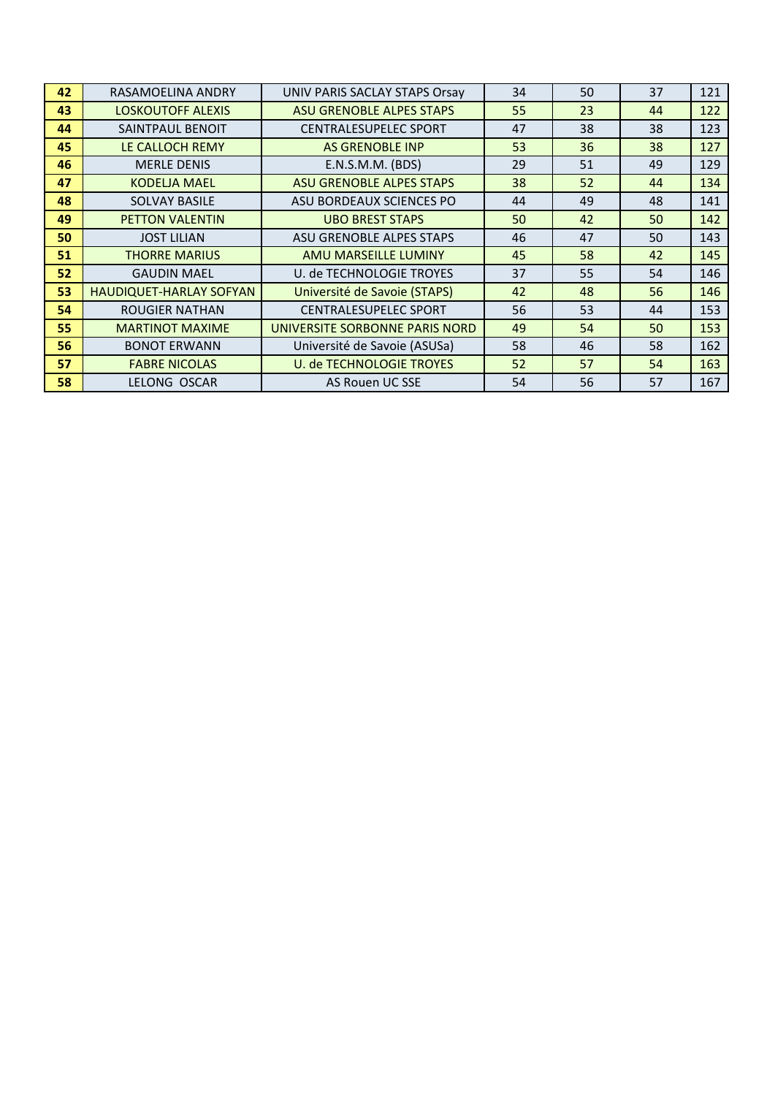| 42 | RASAMOELINA ANDRY        | UNIV PARIS SACLAY STAPS Orsay   | 34 | 50 | 37 | 121 |
|----|--------------------------|---------------------------------|----|----|----|-----|
| 43 | <b>LOSKOUTOFF ALEXIS</b> | <b>ASU GRENOBLE ALPES STAPS</b> | 55 | 23 | 44 | 122 |
| 44 | SAINTPAUL BENOIT         | <b>CENTRALESUPELEC SPORT</b>    | 47 | 38 | 38 | 123 |
| 45 | LE CALLOCH REMY          | <b>AS GRENOBLE INP</b>          | 53 | 36 | 38 | 127 |
| 46 | <b>MERLE DENIS</b>       | E.N.S.M.M. (BDS)                | 29 | 51 | 49 | 129 |
| 47 | <b>KODELJA MAEL</b>      | <b>ASU GRENOBLE ALPES STAPS</b> | 38 | 52 | 44 | 134 |
| 48 | <b>SOLVAY BASILE</b>     | ASU BORDEAUX SCIENCES PO        | 44 | 49 | 48 | 141 |
| 49 | <b>PETTON VALENTIN</b>   | <b>UBO BREST STAPS</b>          | 50 | 42 | 50 | 142 |
| 50 | <b>JOST LILIAN</b>       | ASU GRENOBLE ALPES STAPS        | 46 | 47 | 50 | 143 |
| 51 | <b>THORRE MARIUS</b>     | AMU MARSEILLE LUMINY            | 45 | 58 | 42 | 145 |
| 52 | <b>GAUDIN MAEL</b>       | U. de TECHNOLOGIE TROYES        | 37 | 55 | 54 | 146 |
| 53 | HAUDIQUET-HARLAY SOFYAN  | Université de Savoie (STAPS)    | 42 | 48 | 56 | 146 |
| 54 | <b>ROUGIER NATHAN</b>    | <b>CENTRALESUPELEC SPORT</b>    | 56 | 53 | 44 | 153 |
| 55 | <b>MARTINOT MAXIME</b>   | UNIVERSITE SORBONNE PARIS NORD  | 49 | 54 | 50 | 153 |
| 56 | <b>BONOT ERWANN</b>      | Université de Savoie (ASUSa)    | 58 | 46 | 58 | 162 |
| 57 | <b>FABRE NICOLAS</b>     | <b>U. de TECHNOLOGIE TROYES</b> | 52 | 57 | 54 | 163 |
| 58 | LELONG OSCAR             | AS Rouen UC SSE                 | 54 | 56 | 57 | 167 |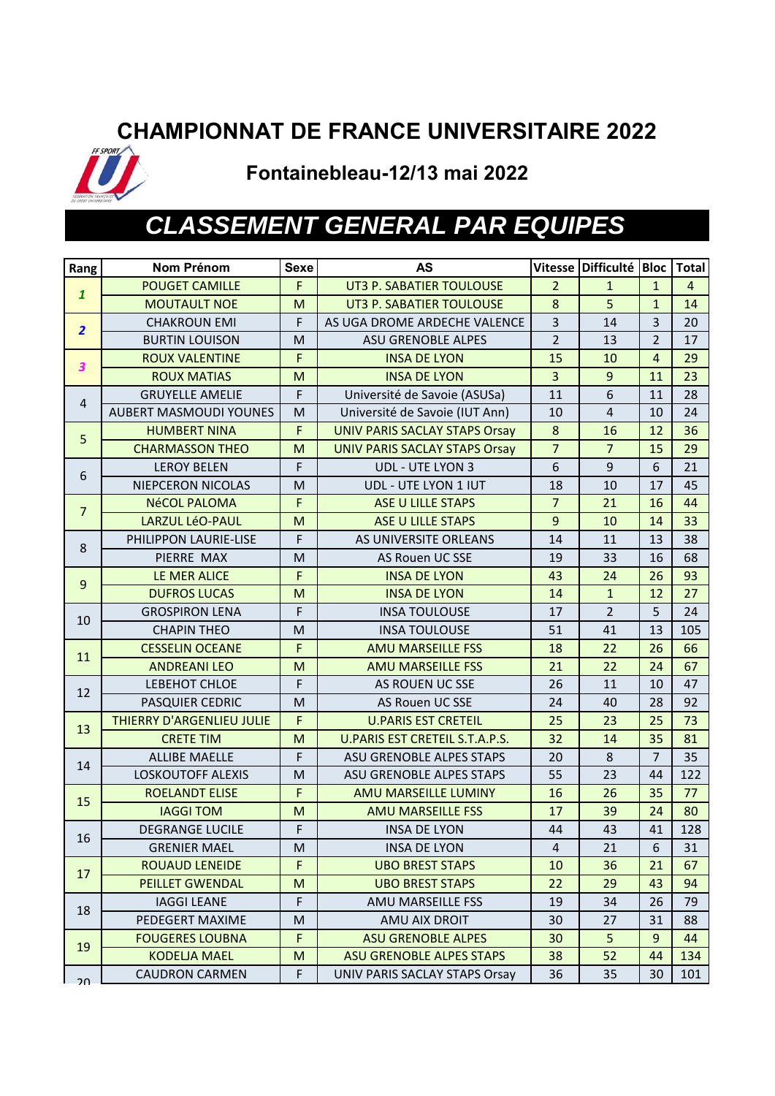#### **CHAMPIONNAT DE FRANCE UNIVERSITAIRE 2022**



**Fontainebleau-12/13 mai 2022**

### *CLASSEMENT GENERAL PAR EQUIPES*

| Rang             | <b>Nom Prénom</b>             | <b>Sexe</b> | <b>AS</b>                             |                | Vitesse Difficulté Bloc   Total |                |                |
|------------------|-------------------------------|-------------|---------------------------------------|----------------|---------------------------------|----------------|----------------|
| $\mathbf{1}$     | <b>POUGET CAMILLE</b>         | F.          | UT3 P. SABATIER TOULOUSE              | $\overline{2}$ | $\mathbf{1}$                    | $\mathbf{1}$   | $\overline{4}$ |
|                  | <b>MOUTAULT NOE</b>           | M           | UT3 P. SABATIER TOULOUSE              | $\bf 8$        | 5                               | $\mathbf{1}$   | 14             |
| $\overline{2}$   | <b>CHAKROUN EMI</b>           | F           | AS UGA DROME ARDECHE VALENCE          | $\overline{3}$ | 14                              | 3              | 20             |
|                  | <b>BURTIN LOUISON</b>         | М           | <b>ASU GRENOBLE ALPES</b>             | $\overline{2}$ | 13                              | $\overline{2}$ | 17             |
| 3                | <b>ROUX VALENTINE</b>         | F           | <b>INSA DE LYON</b>                   | 15             | 10                              | $\overline{4}$ | 29             |
|                  | <b>ROUX MATIAS</b>            | M           | <b>INSA DE LYON</b>                   | $\overline{3}$ | $\overline{9}$                  | 11             | 23             |
| $\overline{4}$   | <b>GRUYELLE AMELIE</b>        | F           | Université de Savoie (ASUSa)          | 11             | 6                               | 11             | 28             |
|                  | <b>AUBERT MASMOUDI YOUNES</b> | M           | Université de Savoie (IUT Ann)        | 10             | $\overline{4}$                  | 10             | 24             |
| 5                | <b>HUMBERT NINA</b>           | F           | <b>UNIV PARIS SACLAY STAPS Orsay</b>  | $\bf 8$        | 16                              | 12             | 36             |
|                  | <b>CHARMASSON THEO</b>        | M           | <b>UNIV PARIS SACLAY STAPS Orsay</b>  | $\overline{7}$ | $\overline{7}$                  | 15             | 29             |
| 6                | <b>LEROY BELEN</b>            | F           | <b>UDL - UTE LYON 3</b>               | 6              | 9                               | 6              | 21             |
|                  | NIEPCERON NICOLAS             | M           | UDL - UTE LYON 1 IUT                  | 18             | 10                              | 17             | 45             |
| $\overline{7}$   | <b>NéCOL PALOMA</b>           | F           | <b>ASE U LILLE STAPS</b>              | $\overline{7}$ | 21                              | 16             | 44             |
|                  | <b>LARZUL LéO-PAUL</b>        | M           | <b>ASE U LILLE STAPS</b>              | $\overline{9}$ | 10                              | 14             | 33             |
| 8                | PHILIPPON LAURIE-LISE         | F           | AS UNIVERSITE ORLEANS                 | 14             | 11                              | 13             | 38             |
|                  | PIERRE MAX                    | M           | <b>AS Rouen UC SSE</b>                | 19             | 33                              | 16             | 68             |
| $\boldsymbol{9}$ | LE MER ALICE                  | F           | <b>INSA DE LYON</b>                   | 43             | 24                              | 26             | 93             |
|                  | <b>DUFROS LUCAS</b>           | M           | <b>INSA DE LYON</b>                   | 14             | $\mathbf{1}$                    | 12             | 27             |
| 10               | <b>GROSPIRON LENA</b>         | $\mathsf F$ | <b>INSA TOULOUSE</b>                  | 17             | $\overline{2}$                  | 5              | 24             |
|                  | <b>CHAPIN THEO</b>            | M           | <b>INSA TOULOUSE</b>                  | 51             | 41                              | 13             | 105            |
| 11               | <b>CESSELIN OCEANE</b>        | F           | <b>AMU MARSEILLE FSS</b>              | 18             | 22                              | 26             | 66             |
|                  | <b>ANDREANILEO</b>            | M           | <b>AMU MARSEILLE FSS</b>              | 21             | 22                              | 24             | 67             |
| 12               | LEBEHOT CHLOE                 | F           | AS ROUEN UC SSE                       | 26             | 11                              | 10             | 47             |
|                  | PASQUIER CEDRIC               | M           | AS Rouen UC SSE                       | 24             | 40                              | 28             | 92             |
| 13               | THIERRY D'ARGENLIEU JULIE     | F           | <b>U.PARIS EST CRETEIL</b>            | 25             | 23                              | 25             | 73             |
|                  | <b>CRETE TIM</b>              | M           | <b>U.PARIS EST CRETEIL S.T.A.P.S.</b> | 32             | 14                              | 35             | 81             |
| 14               | <b>ALLIBE MAELLE</b>          | F           | ASU GRENOBLE ALPES STAPS              | 20             | 8                               | $\overline{7}$ | 35             |
|                  | LOSKOUTOFF ALEXIS             | M           | ASU GRENOBLE ALPES STAPS              | 55             | 23                              | 44             | 122            |
| 15               | <b>ROELANDT ELISE</b>         | F           | AMU MARSEILLE LUMINY                  | 16             | 26                              | 35             | 77             |
|                  | <b>IAGGI TOM</b>              | M           | <b>AMU MARSEILLE FSS</b>              | 17             | 39                              | 24             | 80             |
| 16               | <b>DEGRANGE LUCILE</b>        | F           | <b>INSA DE LYON</b>                   | 44             | 43                              | 41             | 128            |
|                  | <b>GRENIER MAEL</b>           | м           | <b>INSA DE LYON</b>                   | 4              | 21                              | 6              | 31             |
| 17               | <b>ROUAUD LENEIDE</b>         | F           | <b>UBO BREST STAPS</b>                | 10             | 36                              | 21             | 67             |
|                  | <b>PEILLET GWENDAL</b>        | M           | <b>UBO BREST STAPS</b>                | 22             | 29                              | 43             | 94             |
| 18               | <b>IAGGI LEANE</b>            | F           | AMU MARSEILLE FSS                     | 19             | 34                              | 26             | 79             |
|                  | PEDEGERT MAXIME               | M           | AMU AIX DROIT                         | 30             | 27                              | 31             | 88             |
| 19               | <b>FOUGERES LOUBNA</b>        | F           | <b>ASU GRENOBLE ALPES</b>             | 30             | 5                               | 9              | 44             |
|                  | <b>KODELJA MAEL</b>           | M           | <b>ASU GRENOBLE ALPES STAPS</b>       | 38             | 52                              | 44             | 134            |
| 20               | <b>CAUDRON CARMEN</b>         | F           | UNIV PARIS SACLAY STAPS Orsay         | 36             | 35                              | 30             | 101            |